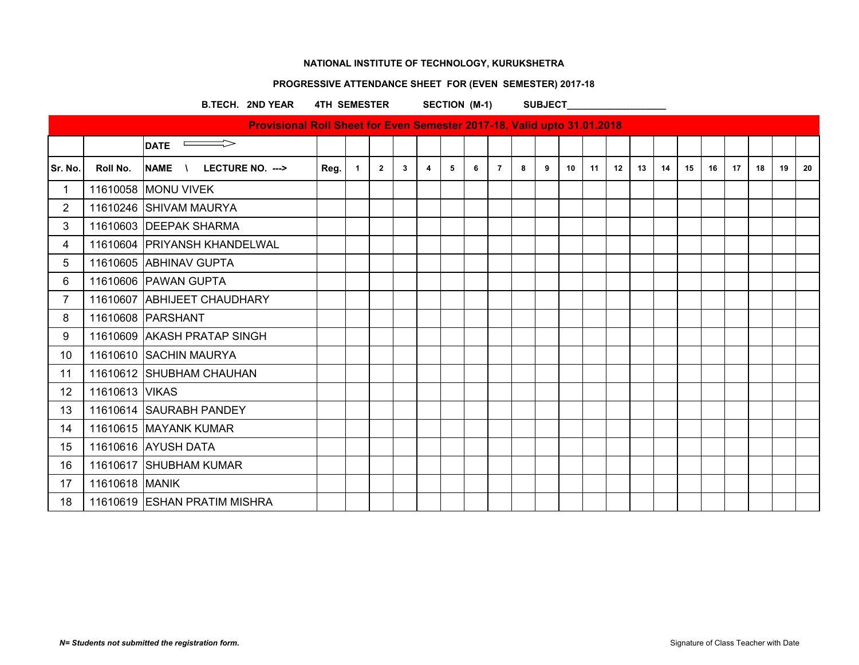### **PROGRESSIVE ATTENDANCE SHEET FOR (EVEN SEMESTER) 2017-18**

B.TECH. 2ND YEAR 4TH SEMESTER SECTION (M-1) SUBJECT

| - | <b>SUBJECT</b> |  |
|---|----------------|--|
|   |                |  |

|                |                | Provisional Roll Sheet for Even Semester 2017-18, Valid upto 31.01.2018 |      |              |                |              |   |   |   |                |   |   |    |    |    |    |    |    |    |    |    |    |    |
|----------------|----------------|-------------------------------------------------------------------------|------|--------------|----------------|--------------|---|---|---|----------------|---|---|----|----|----|----|----|----|----|----|----|----|----|
|                |                | $\overline{\phantom{0}}$ DATE                                           |      |              |                |              |   |   |   |                |   |   |    |    |    |    |    |    |    |    |    |    |    |
| Sr. No.        | Roll No.       | NAME \<br>LECTURE NO. --->                                              | Reg. | $\mathbf{1}$ | $\overline{2}$ | $\mathbf{3}$ | 4 | 5 | 6 | $\overline{7}$ | 8 | 9 | 10 | 11 | 12 | 13 | 14 | 15 | 16 | 17 | 18 | 19 | 20 |
| 1              |                | 11610058 MONU VIVEK                                                     |      |              |                |              |   |   |   |                |   |   |    |    |    |    |    |    |    |    |    |    |    |
| $\overline{2}$ |                | 11610246 SHIVAM MAURYA                                                  |      |              |                |              |   |   |   |                |   |   |    |    |    |    |    |    |    |    |    |    |    |
| 3              |                | 11610603 DEEPAK SHARMA                                                  |      |              |                |              |   |   |   |                |   |   |    |    |    |    |    |    |    |    |    |    |    |
| 4              |                | 11610604 PRIYANSH KHANDELWAL                                            |      |              |                |              |   |   |   |                |   |   |    |    |    |    |    |    |    |    |    |    |    |
| 5              |                | 11610605 ABHINAV GUPTA                                                  |      |              |                |              |   |   |   |                |   |   |    |    |    |    |    |    |    |    |    |    |    |
| 6              |                | 11610606 PAWAN GUPTA                                                    |      |              |                |              |   |   |   |                |   |   |    |    |    |    |    |    |    |    |    |    |    |
| $\overline{7}$ |                | 11610607 ABHIJEET CHAUDHARY                                             |      |              |                |              |   |   |   |                |   |   |    |    |    |    |    |    |    |    |    |    |    |
| 8              |                | 11610608 PARSHANT                                                       |      |              |                |              |   |   |   |                |   |   |    |    |    |    |    |    |    |    |    |    |    |
| 9              |                | 11610609 AKASH PRATAP SINGH                                             |      |              |                |              |   |   |   |                |   |   |    |    |    |    |    |    |    |    |    |    |    |
| 10             |                | 11610610 SACHIN MAURYA                                                  |      |              |                |              |   |   |   |                |   |   |    |    |    |    |    |    |    |    |    |    |    |
| 11             |                | 11610612 SHUBHAM CHAUHAN                                                |      |              |                |              |   |   |   |                |   |   |    |    |    |    |    |    |    |    |    |    |    |
| 12             | 11610613 VIKAS |                                                                         |      |              |                |              |   |   |   |                |   |   |    |    |    |    |    |    |    |    |    |    |    |
| 13             |                | 11610614 SAURABH PANDEY                                                 |      |              |                |              |   |   |   |                |   |   |    |    |    |    |    |    |    |    |    |    |    |
| 14             |                | 11610615 MAYANK KUMAR                                                   |      |              |                |              |   |   |   |                |   |   |    |    |    |    |    |    |    |    |    |    |    |
| 15             |                | 11610616 AYUSH DATA                                                     |      |              |                |              |   |   |   |                |   |   |    |    |    |    |    |    |    |    |    |    |    |
| 16             |                | 11610617 SHUBHAM KUMAR                                                  |      |              |                |              |   |   |   |                |   |   |    |    |    |    |    |    |    |    |    |    |    |
| 17             | 11610618 MANIK |                                                                         |      |              |                |              |   |   |   |                |   |   |    |    |    |    |    |    |    |    |    |    |    |
| 18             |                | 11610619 ESHAN PRATIM MISHRA                                            |      |              |                |              |   |   |   |                |   |   |    |    |    |    |    |    |    |    |    |    |    |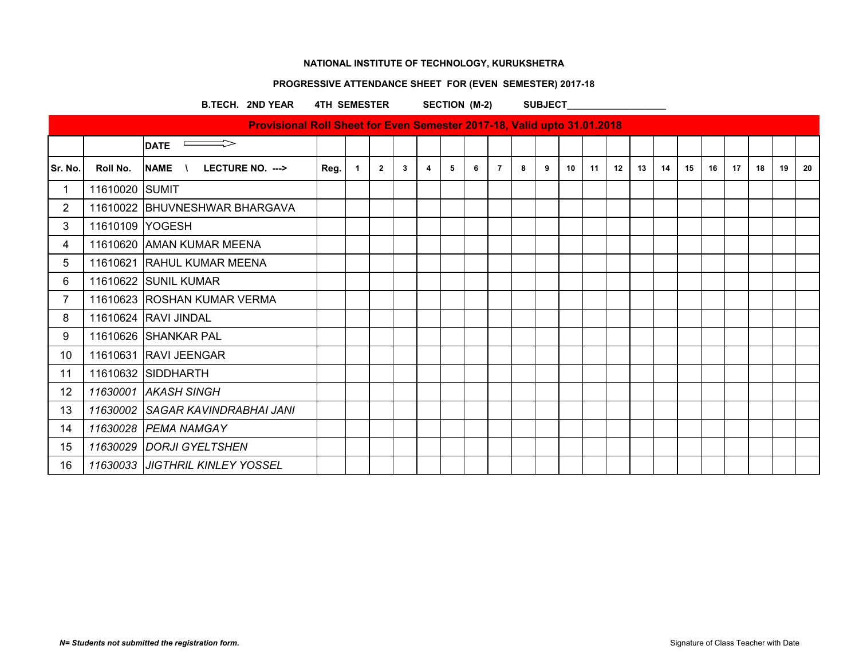### **PROGRESSIVE ATTENDANCE SHEET FOR (EVEN SEMESTER) 2017-18**

## B.TECH. 2ND YEAR 4TH SEMESTER SECTION (M-2) SUBJECT

| <b>AND ILAN THILDENESIEN</b>                                                   |  |  |  | ULUIUN (IVI-4) |  | <b>OUDJLVI</b> |  |  |  |
|--------------------------------------------------------------------------------|--|--|--|----------------|--|----------------|--|--|--|
| <b>Provisional Roll Sheet for Even Semester 2017-18, Valid upto 31.01.2018</b> |  |  |  |                |  |                |  |  |  |
|                                                                                |  |  |  |                |  |                |  |  |  |

|                |                 | $\overline{\phantom{a}}$ DATE     |      |                |                |    |                |   |   |                |   |   |                 |    |    |    |    |    |    |    |    |    |    |
|----------------|-----------------|-----------------------------------|------|----------------|----------------|----|----------------|---|---|----------------|---|---|-----------------|----|----|----|----|----|----|----|----|----|----|
| Sr. No.        | Roll No.        | $N = N$ LECTURE NO. $\rightarrow$ | Reg. | $\overline{1}$ | $\overline{2}$ | -3 | $\overline{4}$ | 5 | 6 | $\overline{7}$ | 8 | 9 | 10 <sup>1</sup> | 11 | 12 | 13 | 14 | 15 | 16 | 17 | 18 | 19 | 20 |
| $\mathbf{1}$   | 11610020 SUMIT  |                                   |      |                |                |    |                |   |   |                |   |   |                 |    |    |    |    |    |    |    |    |    |    |
| $2^{\circ}$    |                 | 11610022 BHUVNESHWAR BHARGAVA     |      |                |                |    |                |   |   |                |   |   |                 |    |    |    |    |    |    |    |    |    |    |
| 3              | 11610109 YOGESH |                                   |      |                |                |    |                |   |   |                |   |   |                 |    |    |    |    |    |    |    |    |    |    |
| 4              |                 | 11610620 AMAN KUMAR MEENA         |      |                |                |    |                |   |   |                |   |   |                 |    |    |    |    |    |    |    |    |    |    |
| 5              |                 | 11610621 RAHUL KUMAR MEENA        |      |                |                |    |                |   |   |                |   |   |                 |    |    |    |    |    |    |    |    |    |    |
| 6              |                 | 11610622 SUNIL KUMAR              |      |                |                |    |                |   |   |                |   |   |                 |    |    |    |    |    |    |    |    |    |    |
| $\overline{7}$ |                 | 11610623 ROSHAN KUMAR VERMA       |      |                |                |    |                |   |   |                |   |   |                 |    |    |    |    |    |    |    |    |    |    |
| 8              |                 | 11610624 RAVI JINDAL              |      |                |                |    |                |   |   |                |   |   |                 |    |    |    |    |    |    |    |    |    |    |
| 9              |                 | 11610626 SHANKAR PAL              |      |                |                |    |                |   |   |                |   |   |                 |    |    |    |    |    |    |    |    |    |    |
| 10             |                 | 11610631 RAVI JEENGAR             |      |                |                |    |                |   |   |                |   |   |                 |    |    |    |    |    |    |    |    |    |    |
| 11             |                 | 11610632 SIDDHARTH                |      |                |                |    |                |   |   |                |   |   |                 |    |    |    |    |    |    |    |    |    |    |
| 12             |                 | 11630001 AKASH SINGH              |      |                |                |    |                |   |   |                |   |   |                 |    |    |    |    |    |    |    |    |    |    |
| 13             |                 | 11630002 SAGAR KAVINDRABHAI JANI  |      |                |                |    |                |   |   |                |   |   |                 |    |    |    |    |    |    |    |    |    |    |
| 14             |                 | 11630028 PEMA NAMGAY              |      |                |                |    |                |   |   |                |   |   |                 |    |    |    |    |    |    |    |    |    |    |
| 15             |                 | 11630029 DORJI GYELTSHEN          |      |                |                |    |                |   |   |                |   |   |                 |    |    |    |    |    |    |    |    |    |    |
| 16             |                 | 11630033 JJIGTHRIL KINLEY YOSSEL  |      |                |                |    |                |   |   |                |   |   |                 |    |    |    |    |    |    |    |    |    |    |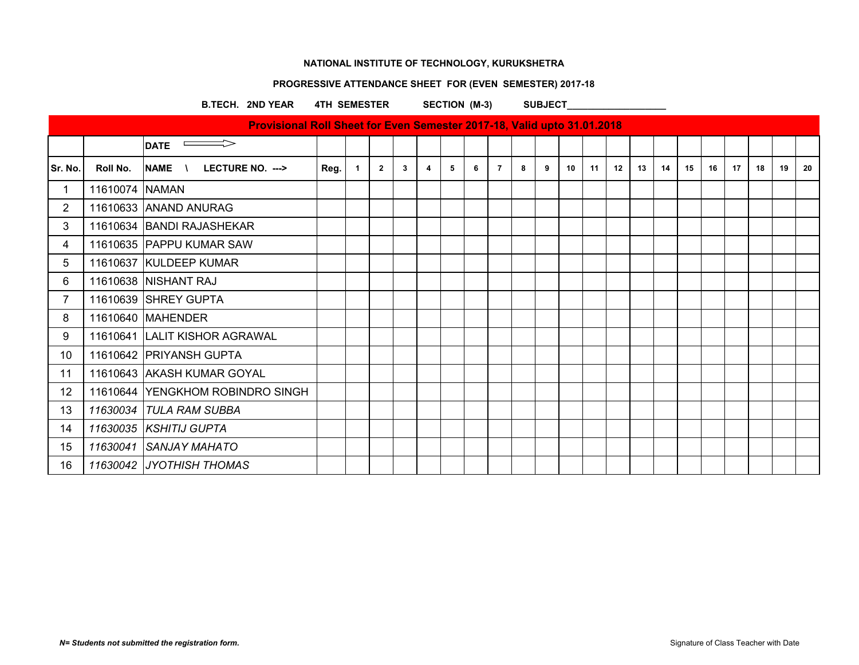### **PROGRESSIVE ATTENDANCE SHEET FOR (EVEN SEMESTER) 2017-18**

### B.TECH. 2ND YEAR 4TH SEMESTER SECTION (M-3) SUBJECT

|                       |                | Provisional Roll Sheet for Even Semester 2017-18, Valid upto 31.01.2018 |      |              |                |   |   |   |   |                |   |   |    |    |    |    |    |    |    |    |    |    |    |
|-----------------------|----------------|-------------------------------------------------------------------------|------|--------------|----------------|---|---|---|---|----------------|---|---|----|----|----|----|----|----|----|----|----|----|----|
|                       |                | $\overline{\phantom{a}}$ DATE                                           |      |              |                |   |   |   |   |                |   |   |    |    |    |    |    |    |    |    |    |    |    |
| Sr. No.               | Roll No.       | NAME \<br>LECTURE NO. --->                                              | Reg. | $\mathbf{1}$ | $\overline{2}$ | 3 | 4 | 5 | 6 | $\overline{7}$ | 8 | 9 | 10 | 11 | 12 | 13 | 14 | 15 | 16 | 17 | 18 | 19 | 20 |
| 1                     | 11610074 NAMAN |                                                                         |      |              |                |   |   |   |   |                |   |   |    |    |    |    |    |    |    |    |    |    |    |
| $\mathbf{2}^{\prime}$ |                | 11610633 ANAND ANURAG                                                   |      |              |                |   |   |   |   |                |   |   |    |    |    |    |    |    |    |    |    |    |    |
| 3                     |                | 11610634 BANDI RAJASHEKAR                                               |      |              |                |   |   |   |   |                |   |   |    |    |    |    |    |    |    |    |    |    |    |
| 4                     |                | 11610635 PAPPU KUMAR SAW                                                |      |              |                |   |   |   |   |                |   |   |    |    |    |    |    |    |    |    |    |    |    |
| 5                     |                | 11610637 KULDEEP KUMAR                                                  |      |              |                |   |   |   |   |                |   |   |    |    |    |    |    |    |    |    |    |    |    |
| 6                     |                | 11610638 NISHANT RAJ                                                    |      |              |                |   |   |   |   |                |   |   |    |    |    |    |    |    |    |    |    |    |    |
| $\overline{7}$        |                | 11610639 SHREY GUPTA                                                    |      |              |                |   |   |   |   |                |   |   |    |    |    |    |    |    |    |    |    |    |    |
| 8                     |                | 11610640 MAHENDER                                                       |      |              |                |   |   |   |   |                |   |   |    |    |    |    |    |    |    |    |    |    |    |
| 9                     |                | 11610641 LALIT KISHOR AGRAWAL                                           |      |              |                |   |   |   |   |                |   |   |    |    |    |    |    |    |    |    |    |    |    |
| 10                    |                | 11610642 PRIYANSH GUPTA                                                 |      |              |                |   |   |   |   |                |   |   |    |    |    |    |    |    |    |    |    |    |    |
| 11                    |                | 11610643 AKASH KUMAR GOYAL                                              |      |              |                |   |   |   |   |                |   |   |    |    |    |    |    |    |    |    |    |    |    |
| 12 <sup>°</sup>       |                | 11610644 YENGKHOM ROBINDRO SINGH                                        |      |              |                |   |   |   |   |                |   |   |    |    |    |    |    |    |    |    |    |    |    |
| 13                    |                | 11630034 TULA RAM SUBBA                                                 |      |              |                |   |   |   |   |                |   |   |    |    |    |    |    |    |    |    |    |    |    |
| 14                    |                | 11630035 KSHITIJ GUPTA                                                  |      |              |                |   |   |   |   |                |   |   |    |    |    |    |    |    |    |    |    |    |    |
| 15 <sub>15</sub>      |                | 11630041 SANJAY MAHATO                                                  |      |              |                |   |   |   |   |                |   |   |    |    |    |    |    |    |    |    |    |    |    |
| 16                    |                | 11630042 JYOTHISH THOMAS                                                |      |              |                |   |   |   |   |                |   |   |    |    |    |    |    |    |    |    |    |    |    |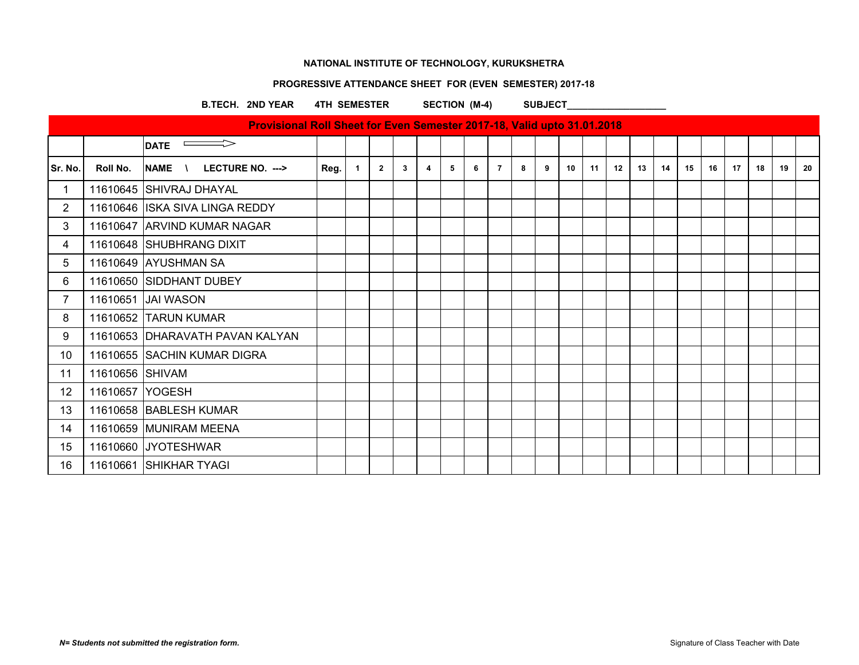### **PROGRESSIVE ATTENDANCE SHEET FOR (EVEN SEMESTER) 2017-18**

#### **B.TECH. 2ND YEAR 4TH SEMESTER SECTION (M-4) SUBJECT**

|                 |                 | Provisional Roll Sheet for Even Semester 2017-18, Valid upto 31.01.2018 |      |                |                |              |                         |   |   |                |   |   |    |    |    |    |    |    |    |    |    |    |    |
|-----------------|-----------------|-------------------------------------------------------------------------|------|----------------|----------------|--------------|-------------------------|---|---|----------------|---|---|----|----|----|----|----|----|----|----|----|----|----|
|                 |                 | $\implies$<br><b>DATE</b>                                               |      |                |                |              |                         |   |   |                |   |   |    |    |    |    |    |    |    |    |    |    |    |
| Sr. No.         | Roll No.        | <b>NAME</b><br>LECTURE NO. ---><br>$\sqrt{ }$                           | Reg. | $\overline{1}$ | $\overline{2}$ | $\mathbf{3}$ | $\overline{\mathbf{4}}$ | 5 | 6 | $\overline{7}$ | 8 | 9 | 10 | 11 | 12 | 13 | 14 | 15 | 16 | 17 | 18 | 19 | 20 |
| 1               |                 | 11610645 SHIVRAJ DHAYAL                                                 |      |                |                |              |                         |   |   |                |   |   |    |    |    |    |    |    |    |    |    |    |    |
| $\overline{2}$  |                 | 11610646 ISKA SIVA LINGA REDDY                                          |      |                |                |              |                         |   |   |                |   |   |    |    |    |    |    |    |    |    |    |    |    |
| 3               |                 | 11610647 ARVIND KUMAR NAGAR                                             |      |                |                |              |                         |   |   |                |   |   |    |    |    |    |    |    |    |    |    |    |    |
| 4               |                 | 11610648 SHUBHRANG DIXIT                                                |      |                |                |              |                         |   |   |                |   |   |    |    |    |    |    |    |    |    |    |    |    |
| 5               |                 | 11610649 AYUSHMAN SA                                                    |      |                |                |              |                         |   |   |                |   |   |    |    |    |    |    |    |    |    |    |    |    |
| 6               |                 | 11610650 SIDDHANT DUBEY                                                 |      |                |                |              |                         |   |   |                |   |   |    |    |    |    |    |    |    |    |    |    |    |
| 7               |                 | 11610651 JAI WASON                                                      |      |                |                |              |                         |   |   |                |   |   |    |    |    |    |    |    |    |    |    |    |    |
| 8               |                 | 11610652 TARUN KUMAR                                                    |      |                |                |              |                         |   |   |                |   |   |    |    |    |    |    |    |    |    |    |    |    |
| 9               |                 | 11610653 DHARAVATH PAVAN KALYAN                                         |      |                |                |              |                         |   |   |                |   |   |    |    |    |    |    |    |    |    |    |    |    |
| 10 <sup>°</sup> |                 | 11610655 SACHIN KUMAR DIGRA                                             |      |                |                |              |                         |   |   |                |   |   |    |    |    |    |    |    |    |    |    |    |    |
| 11              | 11610656 SHIVAM |                                                                         |      |                |                |              |                         |   |   |                |   |   |    |    |    |    |    |    |    |    |    |    |    |
| 12              | 11610657 YOGESH |                                                                         |      |                |                |              |                         |   |   |                |   |   |    |    |    |    |    |    |    |    |    |    |    |
| 13              |                 | 11610658 BABLESH KUMAR                                                  |      |                |                |              |                         |   |   |                |   |   |    |    |    |    |    |    |    |    |    |    |    |
| 14              |                 | 11610659 MUNIRAM MEENA                                                  |      |                |                |              |                         |   |   |                |   |   |    |    |    |    |    |    |    |    |    |    |    |
| 15              |                 | 11610660 JYOTESHWAR                                                     |      |                |                |              |                         |   |   |                |   |   |    |    |    |    |    |    |    |    |    |    |    |
| 16              |                 | 11610661 SHIKHAR TYAGI                                                  |      |                |                |              |                         |   |   |                |   |   |    |    |    |    |    |    |    |    |    |    |    |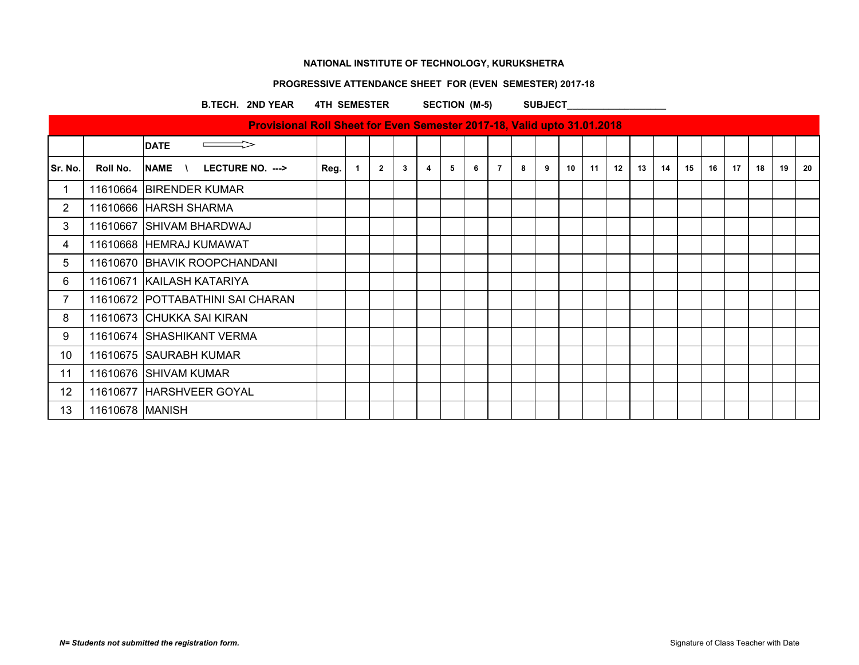### **PROGRESSIVE ATTENDANCE SHEET FOR (EVEN SEMESTER) 2017-18**

#### B.TECH. 2ND YEAR 4TH SEMESTER SECTION (M-5) SUBJECT

|                                                       | ______ |  |
|-------------------------------------------------------|--------|--|
|                                                       |        |  |
|                                                       |        |  |
|                                                       |        |  |
| ________<br><b>Service Contract Contract Contract</b> |        |  |

|                       |                   | <b>Provisional Roll Sheet for Even Semester 2017-18, Valid upto 31.01.2018</b> |      |                |                |    |   |   |   |   |   |   |    |    |    |    |    |    |    |    |    |    |     |
|-----------------------|-------------------|--------------------------------------------------------------------------------|------|----------------|----------------|----|---|---|---|---|---|---|----|----|----|----|----|----|----|----|----|----|-----|
|                       |                   | <b>DATE</b>                                                                    |      |                |                |    |   |   |   |   |   |   |    |    |    |    |    |    |    |    |    |    |     |
| Sr. No.               | Roll No.          | NAME \<br>LECTURE NO. --->                                                     | Reg. | $\overline{1}$ | $\overline{2}$ | -3 | 4 | 5 | 6 | 7 | 8 | 9 | 10 | 11 | 12 | 13 | 14 | 15 | 16 | 17 | 18 | 19 | -20 |
|                       |                   | 11610664 BIRENDER KUMAR                                                        |      |                |                |    |   |   |   |   |   |   |    |    |    |    |    |    |    |    |    |    |     |
| $\mathbf{2}^{\prime}$ |                   | 11610666 HARSH SHARMA                                                          |      |                |                |    |   |   |   |   |   |   |    |    |    |    |    |    |    |    |    |    |     |
| 3                     |                   | 11610667 SHIVAM BHARDWAJ                                                       |      |                |                |    |   |   |   |   |   |   |    |    |    |    |    |    |    |    |    |    |     |
| 4                     |                   | 11610668 HEMRAJ KUMAWAT                                                        |      |                |                |    |   |   |   |   |   |   |    |    |    |    |    |    |    |    |    |    |     |
| 5                     |                   | 11610670 BHAVIK ROOPCHANDANI                                                   |      |                |                |    |   |   |   |   |   |   |    |    |    |    |    |    |    |    |    |    |     |
| 6                     |                   | 11610671 KAILASH KATARIYA                                                      |      |                |                |    |   |   |   |   |   |   |    |    |    |    |    |    |    |    |    |    |     |
| 7                     |                   | 11610672 POTTABATHINI SAI CHARAN                                               |      |                |                |    |   |   |   |   |   |   |    |    |    |    |    |    |    |    |    |    |     |
| 8                     |                   | 11610673 CHUKKA SAI KIRAN                                                      |      |                |                |    |   |   |   |   |   |   |    |    |    |    |    |    |    |    |    |    |     |
| 9                     |                   | 11610674 SHASHIKANT VERMA                                                      |      |                |                |    |   |   |   |   |   |   |    |    |    |    |    |    |    |    |    |    |     |
| 10                    |                   | 11610675 SAURABH KUMAR                                                         |      |                |                |    |   |   |   |   |   |   |    |    |    |    |    |    |    |    |    |    |     |
| 11                    |                   | 11610676 SHIVAM KUMAR                                                          |      |                |                |    |   |   |   |   |   |   |    |    |    |    |    |    |    |    |    |    |     |
| $12 \overline{ }$     |                   | 11610677 HARSHVEER GOYAL                                                       |      |                |                |    |   |   |   |   |   |   |    |    |    |    |    |    |    |    |    |    |     |
| 13                    | 11610678   MANISH |                                                                                |      |                |                |    |   |   |   |   |   |   |    |    |    |    |    |    |    |    |    |    |     |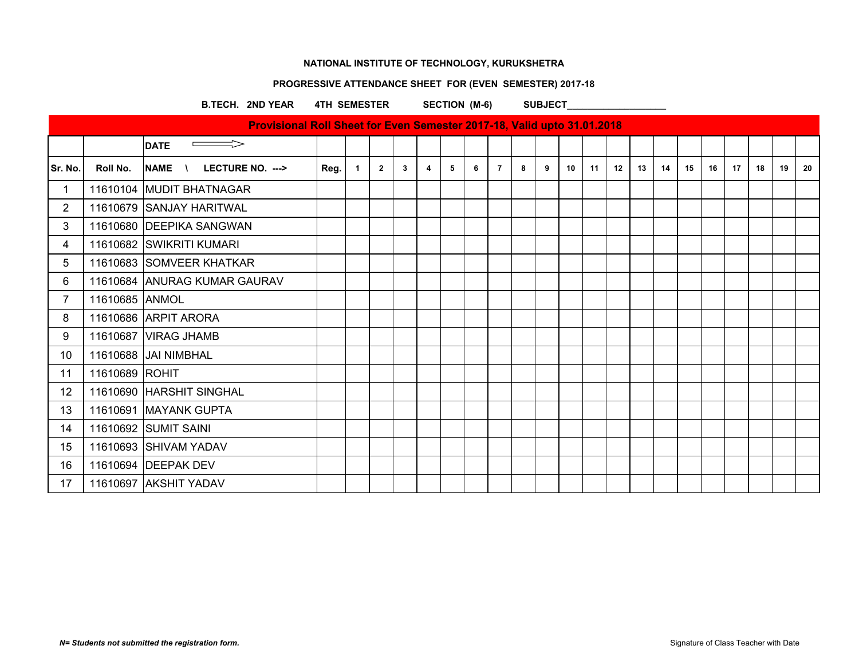### **PROGRESSIVE ATTENDANCE SHEET FOR (EVEN SEMESTER) 2017-18**

#### B.TECH. 2ND YEAR 4TH SEMESTER SECTION (M-6) SUBJECT

|                |                | Provisional Roll Sheet for Even Semester 2017-18, Valid upto 31.01.2018 |      |              |                |   |                |   |   |                |   |   |    |    |    |    |    |    |    |    |    |    |    |
|----------------|----------------|-------------------------------------------------------------------------|------|--------------|----------------|---|----------------|---|---|----------------|---|---|----|----|----|----|----|----|----|----|----|----|----|
|                |                | <b>DATE</b>                                                             |      |              |                |   |                |   |   |                |   |   |    |    |    |    |    |    |    |    |    |    |    |
| Sr. No.        | Roll No.       | NAME \<br>LECTURE NO. --->                                              | Reg. | $\mathbf{1}$ | $\overline{2}$ | 3 | $\overline{4}$ | 5 | 6 | $\overline{7}$ | 8 | 9 | 10 | 11 | 12 | 13 | 14 | 15 | 16 | 17 | 18 | 19 | 20 |
| $\mathbf 1$    |                | 11610104 MUDIT BHATNAGAR                                                |      |              |                |   |                |   |   |                |   |   |    |    |    |    |    |    |    |    |    |    |    |
| $\overline{2}$ |                | 11610679 SANJAY HARITWAL                                                |      |              |                |   |                |   |   |                |   |   |    |    |    |    |    |    |    |    |    |    |    |
| 3              |                | 11610680 DEEPIKA SANGWAN                                                |      |              |                |   |                |   |   |                |   |   |    |    |    |    |    |    |    |    |    |    |    |
| 4              |                | 11610682 SWIKRITI KUMARI                                                |      |              |                |   |                |   |   |                |   |   |    |    |    |    |    |    |    |    |    |    |    |
| 5              |                | 11610683 SOMVEER KHATKAR                                                |      |              |                |   |                |   |   |                |   |   |    |    |    |    |    |    |    |    |    |    |    |
| 6              |                | 11610684 ANURAG KUMAR GAURAV                                            |      |              |                |   |                |   |   |                |   |   |    |    |    |    |    |    |    |    |    |    |    |
| $\overline{7}$ | 11610685 ANMOL |                                                                         |      |              |                |   |                |   |   |                |   |   |    |    |    |    |    |    |    |    |    |    |    |
| 8              |                | 11610686 ARPIT ARORA                                                    |      |              |                |   |                |   |   |                |   |   |    |    |    |    |    |    |    |    |    |    |    |
| 9              |                | 11610687 VIRAG JHAMB                                                    |      |              |                |   |                |   |   |                |   |   |    |    |    |    |    |    |    |    |    |    |    |
| 10             |                | 11610688 JAI NIMBHAL                                                    |      |              |                |   |                |   |   |                |   |   |    |    |    |    |    |    |    |    |    |    |    |
| 11             | 11610689 ROHIT |                                                                         |      |              |                |   |                |   |   |                |   |   |    |    |    |    |    |    |    |    |    |    |    |
| 12             |                | 11610690 HARSHIT SINGHAL                                                |      |              |                |   |                |   |   |                |   |   |    |    |    |    |    |    |    |    |    |    |    |
| 13             |                | 11610691   MAYANK GUPTA                                                 |      |              |                |   |                |   |   |                |   |   |    |    |    |    |    |    |    |    |    |    |    |
| 14             |                | 11610692 SUMIT SAINI                                                    |      |              |                |   |                |   |   |                |   |   |    |    |    |    |    |    |    |    |    |    |    |
| 15             |                | 11610693 SHIVAM YADAV                                                   |      |              |                |   |                |   |   |                |   |   |    |    |    |    |    |    |    |    |    |    |    |
| 16             |                | 11610694 DEEPAK DEV                                                     |      |              |                |   |                |   |   |                |   |   |    |    |    |    |    |    |    |    |    |    |    |
| 17             |                | 11610697 AKSHIT YADAV                                                   |      |              |                |   |                |   |   |                |   |   |    |    |    |    |    |    |    |    |    |    |    |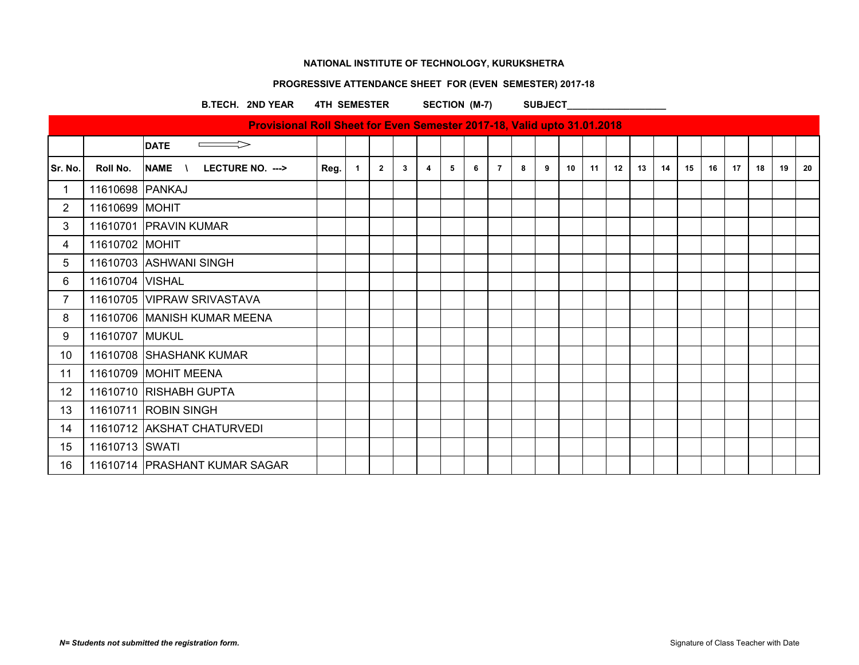### **PROGRESSIVE ATTENDANCE SHEET FOR (EVEN SEMESTER) 2017-18**

B.TECH. 2ND YEAR 4TH SEMESTER SECTION (M-7) SUBJECT

|                |                 | Provisional Roll Sheet for Even Semester 2017-18, Valid upto 31.01.2018 |      |                |                |                |                |   |   |                |   |   |    |    |    |    |    |    |    |    |    |    |    |
|----------------|-----------------|-------------------------------------------------------------------------|------|----------------|----------------|----------------|----------------|---|---|----------------|---|---|----|----|----|----|----|----|----|----|----|----|----|
|                |                 | <b>DATE</b><br>$\implies$                                               |      |                |                |                |                |   |   |                |   |   |    |    |    |    |    |    |    |    |    |    |    |
|                |                 |                                                                         |      |                |                |                |                |   |   |                |   |   |    |    |    |    |    |    |    |    |    |    |    |
| Sr. No.        | Roll No.        | NAME \<br>LECTURE NO. --->                                              | Reg. | $\overline{1}$ | $\overline{2}$ | 3 <sup>1</sup> | $\overline{4}$ | 5 | 6 | $\overline{7}$ | 8 | 9 | 10 | 11 | 12 | 13 | 14 | 15 | 16 | 17 | 18 | 19 | 20 |
| 1              | 11610698 PANKAJ |                                                                         |      |                |                |                |                |   |   |                |   |   |    |    |    |    |    |    |    |    |    |    |    |
| $\overline{2}$ | 11610699 MOHIT  |                                                                         |      |                |                |                |                |   |   |                |   |   |    |    |    |    |    |    |    |    |    |    |    |
| $\mathfrak{B}$ |                 | 11610701 PRAVIN KUMAR                                                   |      |                |                |                |                |   |   |                |   |   |    |    |    |    |    |    |    |    |    |    |    |
| 4              | 11610702 MOHIT  |                                                                         |      |                |                |                |                |   |   |                |   |   |    |    |    |    |    |    |    |    |    |    |    |
| 5              |                 | 11610703 ASHWANI SINGH                                                  |      |                |                |                |                |   |   |                |   |   |    |    |    |    |    |    |    |    |    |    |    |
| 6              | 11610704 VISHAL |                                                                         |      |                |                |                |                |   |   |                |   |   |    |    |    |    |    |    |    |    |    |    |    |
| $\overline{7}$ |                 | 11610705 VIPRAW SRIVASTAVA                                              |      |                |                |                |                |   |   |                |   |   |    |    |    |    |    |    |    |    |    |    |    |
| 8              |                 | 11610706 MANISH KUMAR MEENA                                             |      |                |                |                |                |   |   |                |   |   |    |    |    |    |    |    |    |    |    |    |    |
| 9              | 11610707 MUKUL  |                                                                         |      |                |                |                |                |   |   |                |   |   |    |    |    |    |    |    |    |    |    |    |    |
| 10             |                 | 11610708 SHASHANK KUMAR                                                 |      |                |                |                |                |   |   |                |   |   |    |    |    |    |    |    |    |    |    |    |    |
| 11             |                 | 11610709 MOHIT MEENA                                                    |      |                |                |                |                |   |   |                |   |   |    |    |    |    |    |    |    |    |    |    |    |
| 12             |                 | 11610710 RISHABH GUPTA                                                  |      |                |                |                |                |   |   |                |   |   |    |    |    |    |    |    |    |    |    |    |    |
| 13             |                 | 11610711 ROBIN SINGH                                                    |      |                |                |                |                |   |   |                |   |   |    |    |    |    |    |    |    |    |    |    |    |
| 14             |                 | 11610712 AKSHAT CHATURVEDI                                              |      |                |                |                |                |   |   |                |   |   |    |    |    |    |    |    |    |    |    |    |    |
| 15             | 11610713 SWATI  |                                                                         |      |                |                |                |                |   |   |                |   |   |    |    |    |    |    |    |    |    |    |    |    |
| 16             |                 | 11610714   PRASHANT KUMAR SAGAR                                         |      |                |                |                |                |   |   |                |   |   |    |    |    |    |    |    |    |    |    |    |    |